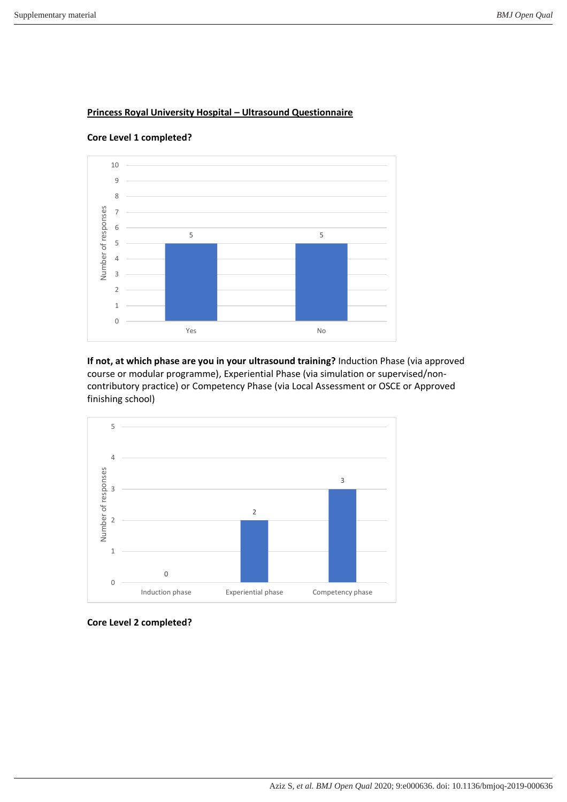

**Princess Royal University Hospital – Ultrasound Questionnaire** 

**Core Level 1 completed?**

**If not, at which phase are you in your ultrasound training?** Induction Phase (via approved course or modular programme), Experiential Phase (via simulation or supervised/noncontributory practice) or Competency Phase (via Local Assessment or OSCE or Approved finishing school)



**Core Level 2 completed?**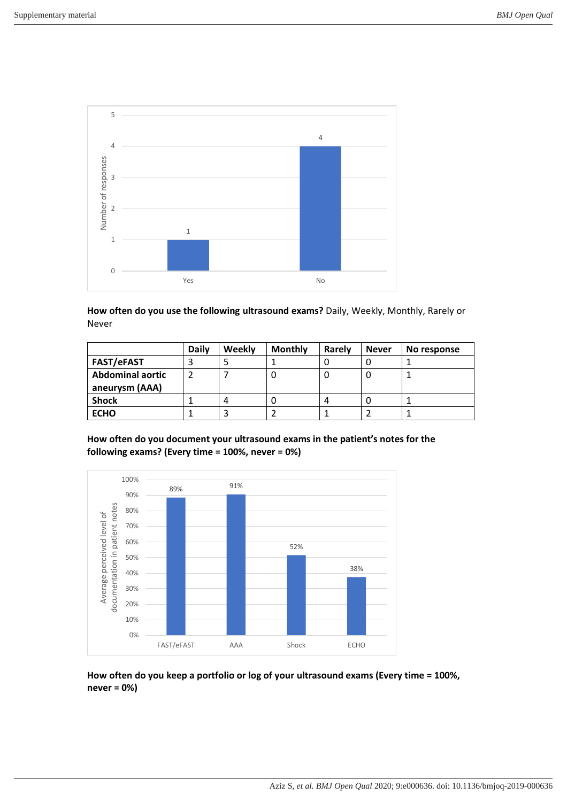

**How often do you use the following ultrasound exams?** Daily, Weekly, Monthly, Rarely or Never

|                         | <b>Daily</b> | Weekly | <b>Monthly</b> | Rarely | <b>Never</b> | No response |
|-------------------------|--------------|--------|----------------|--------|--------------|-------------|
| <b>FAST/eFAST</b>       |              |        |                |        |              |             |
| <b>Abdominal aortic</b> |              |        |                |        | υ            |             |
| aneurysm (AAA)          |              |        |                |        |              |             |
| <b>Shock</b>            |              | 4      |                |        | υ            |             |
| <b>ECHO</b>             |              |        |                |        |              |             |

**How often do you document your ultrasound exams in the patient's notes for the following exams? (Every time = 100%, never = 0%)** 



**How often do you keep a portfolio or log of your ultrasound exams (Every time = 100%, never = 0%)**